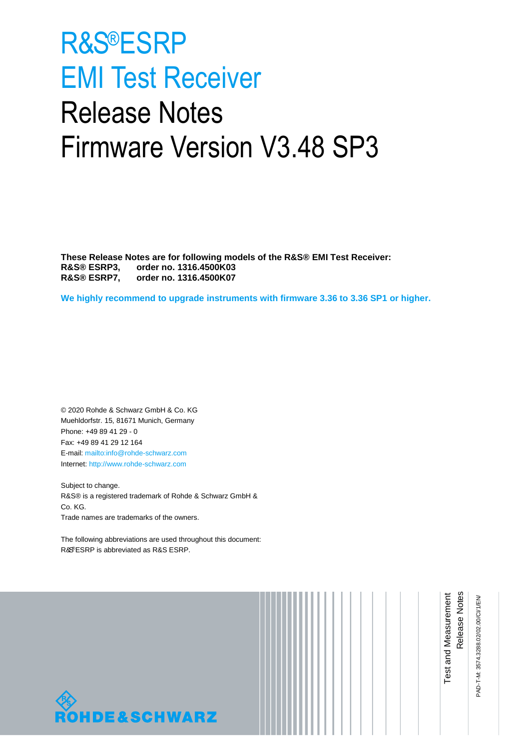# <span id="page-0-0"></span>R&S®ESRP EMI Test Receiver Release Notes Firmware Version V3.48 SP3

**These Release Notes are for following models of the R&S® EMI Test Receiver: R&S® [ESRP3](#page-0-0), order no. 1316.4500K03 R&S® [ESRP7](#page-0-0), order no. 1316.4500K07**

**We highly recommend to upgrade instruments with firmware 3.36 to 3.36 SP1 or higher.**

© 2020 Rohde & Schwarz GmbH & Co. KG Muehldorfstr. 15, 81671 Munich, Germany Phone: +49 89 41 29 - 0 Fax: +49 89 41 29 12 164 E-mail[: mailto:info@rohde-schwarz.com](mailto:info@rohde-schwarz.com) Internet: [http://www.rohde-schwarz.com](http://www.rohde-schwarz.com/)

Subject to change. R&S® is a registered trademark of Rohde & Schwarz GmbH & Co. KG. Trade names are trademarks of the owners.

The following abbreviations are used throughout this document: R&S®[ESRP](#page-0-0) is abbreviated as R&S [ESRP.](#page-0-0)



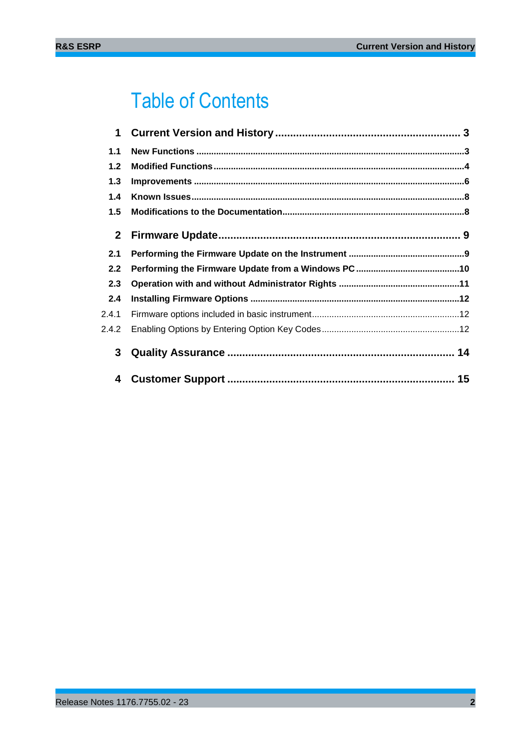## Table of Contents

| $\mathbf 1$  |  |
|--------------|--|
| 1.1          |  |
| $1.2$        |  |
| 1.3          |  |
| 1.4          |  |
| 1.5          |  |
| $\mathbf{2}$ |  |
| 2.1          |  |
| 2.2          |  |
| 2.3          |  |
| 2.4          |  |
| 2.4.1        |  |
| 2.4.2        |  |
| 3            |  |
| 4            |  |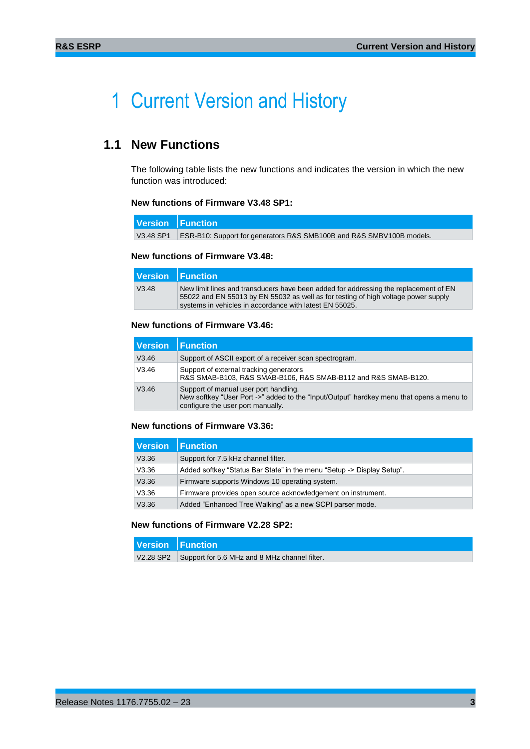## <span id="page-2-0"></span>1 Current Version and History

## <span id="page-2-1"></span>**1.1 New Functions**

The following table lists the new functions and indicates the version in which the new function was introduced:

#### **New functions of Firmware V3.48 SP1:**

| Version   Function                                                               |
|----------------------------------------------------------------------------------|
| V3.48 SP1   ESR-B10: Support for generators R&S SMB100B and R&S SMBV100B models. |

#### **New functions of Firmware V3.48:**

|       | Version Function                                                                                                                                                                                                                      |
|-------|---------------------------------------------------------------------------------------------------------------------------------------------------------------------------------------------------------------------------------------|
| V3.48 | New limit lines and transducers have been added for addressing the replacement of EN<br>55022 and EN 55013 by EN 55032 as well as for testing of high voltage power supply<br>systems in vehicles in accordance with latest EN 55025. |

#### **New functions of Firmware V3.46:**

| l Version | l Function                                                                                                                                                             |
|-----------|------------------------------------------------------------------------------------------------------------------------------------------------------------------------|
| V3.46     | Support of ASCII export of a receiver scan spectrogram.                                                                                                                |
| V3.46     | Support of external tracking generators<br>R&S SMAB-B103, R&S SMAB-B106, R&S SMAB-B112 and R&S SMAB-B120.                                                              |
| V3.46     | Support of manual user port handling.<br>New softkey "User Port ->" added to the "Input/Output" hardkey menu that opens a menu to<br>configure the user port manually. |

#### **New functions of Firmware V3.36:**

| <b>Function</b>                                                        |
|------------------------------------------------------------------------|
| Support for 7.5 kHz channel filter.                                    |
| Added softkey "Status Bar State" in the menu "Setup -> Display Setup". |
| Firmware supports Windows 10 operating system.                         |
| Firmware provides open source acknowledgement on instrument.           |
| Added "Enhanced Tree Walking" as a new SCPI parser mode.               |
|                                                                        |

#### **New functions of Firmware V2.28 SP2:**

| Version   Function                                      |
|---------------------------------------------------------|
| V2.28 SP2 Support for 5.6 MHz and 8 MHz channel filter. |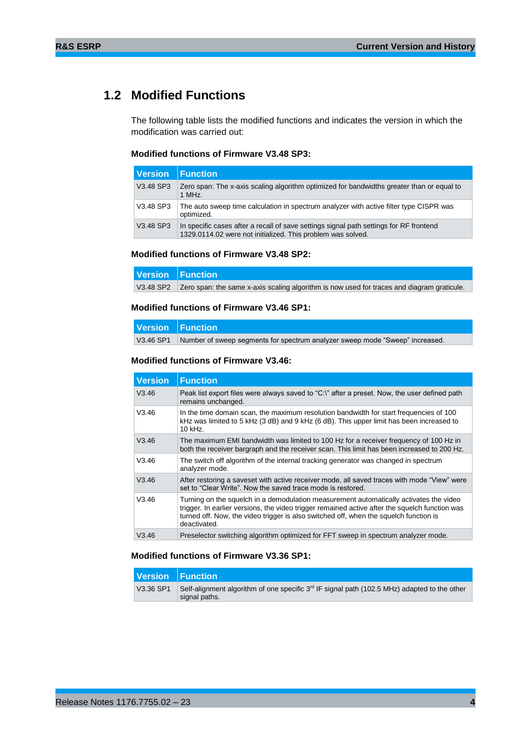## <span id="page-3-0"></span>**1.2 Modified Functions**

The following table lists the modified functions and indicates the version in which the modification was carried out:

#### **Modified functions of Firmware V3.48 SP3:**

| Version Function |                                                                                                                                                       |
|------------------|-------------------------------------------------------------------------------------------------------------------------------------------------------|
| V3.48 SP3        | Zero span: The x-axis scaling algorithm optimized for bandwidths greater than or equal to<br>1 MHz.                                                   |
| V3.48 SP3        | The auto sweep time calculation in spectrum analyzer with active filter type CISPR was<br>optimized.                                                  |
| V3.48 SP3        | In specific cases after a recall of save settings signal path settings for RF frontend<br>1329.0114.02 were not initialized. This problem was solved. |

#### **Modified functions of Firmware V3.48 SP2:**

| Version Function                                                                                     |
|------------------------------------------------------------------------------------------------------|
| V3.48 SP2 Zero span: the same x-axis scaling algorithm is now used for traces and diagram graticule. |

#### **Modified functions of Firmware V3.46 SP1:**

| Version Function |                                                                              |
|------------------|------------------------------------------------------------------------------|
| V3.46 SP1        | Number of sweep segments for spectrum analyzer sweep mode "Sweep" increased. |

#### **Modified functions of Firmware V3.46:**

| <b>Version</b> | <b>Function</b>                                                                                                                                                                                                                                                                                   |
|----------------|---------------------------------------------------------------------------------------------------------------------------------------------------------------------------------------------------------------------------------------------------------------------------------------------------|
| V3.46          | Peak list export files were always saved to "C:\" after a preset. Now, the user defined path<br>remains unchanged.                                                                                                                                                                                |
| V3.46          | In the time domain scan, the maximum resolution bandwidth for start frequencies of 100<br>kHz was limited to 5 kHz (3 dB) and 9 kHz (6 dB). This upper limit has been increased to<br>10 kHz.                                                                                                     |
| V3.46          | The maximum EMI bandwidth was limited to 100 Hz for a receiver frequency of 100 Hz in<br>both the receiver bargraph and the receiver scan. This limit has been increased to 200 Hz.                                                                                                               |
| V3.46          | The switch off algorithm of the internal tracking generator was changed in spectrum<br>analyzer mode.                                                                                                                                                                                             |
| V3.46          | After restoring a saveset with active receiver mode, all saved traces with mode "View" were<br>set to "Clear Write". Now the saved trace mode is restored.                                                                                                                                        |
| V3.46          | Turning on the squelch in a demodulation measurement automatically activates the video<br>trigger. In earlier versions, the video trigger remained active after the squelch function was<br>turned off. Now, the video trigger is also switched off, when the squelch function is<br>deactivated. |
| V3.46          | Preselector switching algorithm optimized for FFT sweep in spectrum analyzer mode.                                                                                                                                                                                                                |

#### **Modified functions of Firmware V3.36 SP1:**

|           | Version Function                                                                                                          |
|-----------|---------------------------------------------------------------------------------------------------------------------------|
| V3.36 SP1 | Self-alignment algorithm of one specific 3 <sup>rd</sup> IF signal path (102.5 MHz) adapted to the other<br>signal paths. |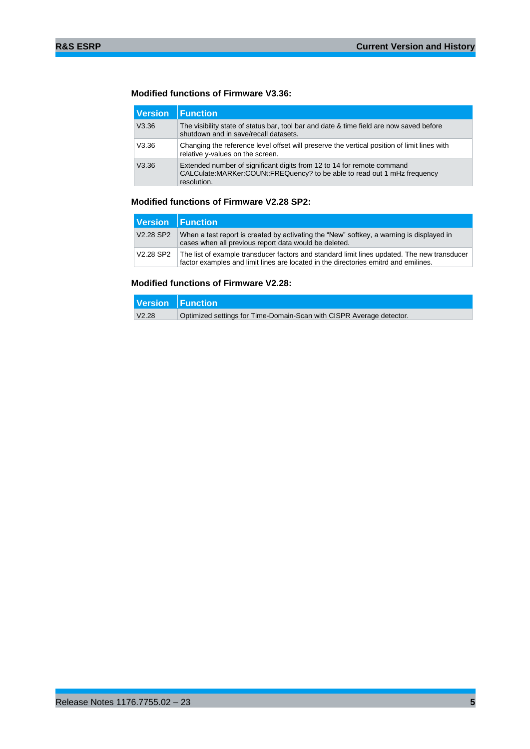#### **Modified functions of Firmware V3.36:**

| Version | <b>Function</b>                                                                                                                                                      |
|---------|----------------------------------------------------------------------------------------------------------------------------------------------------------------------|
| V3.36   | The visibility state of status bar, tool bar and date & time field are now saved before<br>shutdown and in save/recall datasets.                                     |
| V3.36   | Changing the reference level offset will preserve the vertical position of limit lines with<br>relative y-values on the screen.                                      |
| V3.36   | Extended number of significant digits from 12 to 14 for remote command<br>CALCulate: MARKer: COUNt: FREQuency? to be able to read out 1 mHz frequency<br>resolution. |

#### **Modified functions of Firmware V2.28 SP2:**

|                                   | Version Function                                                                                                                                                                   |
|-----------------------------------|------------------------------------------------------------------------------------------------------------------------------------------------------------------------------------|
| V <sub>2.28</sub> SP <sub>2</sub> | When a test report is created by activating the "New" softkey, a warning is displayed in<br>cases when all previous report data would be deleted.                                  |
| V2.28 SP2                         | The list of example transducer factors and standard limit lines updated. The new transducer<br>factor examples and limit lines are located in the directories emitrd and emilines. |

#### **Modified functions of Firmware V2.28:**

|       | Version   Function                                                   |
|-------|----------------------------------------------------------------------|
| V2.28 | Optimized settings for Time-Domain-Scan with CISPR Average detector. |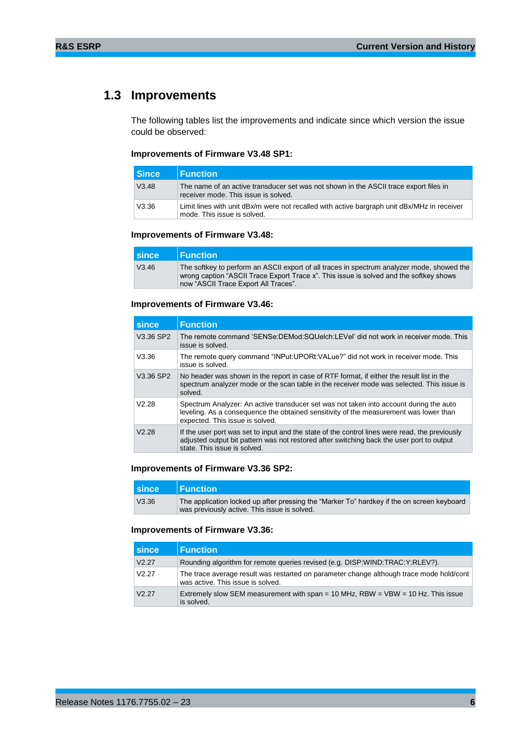## <span id="page-5-0"></span>**1.3 Improvements**

The following tables list the improvements and indicate since which version the issue could be observed:

#### **Improvements of Firmware V3.48 SP1:**

| l Since | $\blacksquare$ Function                                                                                                       |
|---------|-------------------------------------------------------------------------------------------------------------------------------|
| V3.48   | The name of an active transducer set was not shown in the ASCII trace export files in<br>receiver mode. This issue is solved. |
| V3.36   | Limit lines with unit dBx/m were not recalled with active bargraph unit dBx/MHz in receiver<br>mode. This issue is solved.    |

#### **Improvements of Firmware V3.48:**

| <b>Since</b> | $\blacksquare$ Function                                                                                                                                                                                                      |
|--------------|------------------------------------------------------------------------------------------------------------------------------------------------------------------------------------------------------------------------------|
| V3.46        | The softkey to perform an ASCII export of all traces in spectrum analyzer mode, showed the<br>wrong caption "ASCII Trace Export Trace x". This issue is solved and the softkey shows<br>now "ASCII Trace Export All Traces". |

#### **Improvements of Firmware V3.46:**

| since     | <b>Function</b>                                                                                                                                                                                                             |
|-----------|-----------------------------------------------------------------------------------------------------------------------------------------------------------------------------------------------------------------------------|
| V3.36 SP2 | The remote command 'SENSe:DEMod:SQUelch:LEVel' did not work in receiver mode. This<br>issue is solved.                                                                                                                      |
| V3.36     | The remote query command "INPut:UPORt:VALue?" did not work in receiver mode. This<br>issue is solved.                                                                                                                       |
| V3.36 SP2 | No header was shown in the report in case of RTF format, if either the result list in the<br>spectrum analyzer mode or the scan table in the receiver mode was selected. This issue is<br>solved.                           |
| V2.28     | Spectrum Analyzer: An active transducer set was not taken into account during the auto<br>leveling. As a consequence the obtained sensitivity of the measurement was lower than<br>expected. This issue is solved.          |
| V2.28     | If the user port was set to input and the state of the control lines were read, the previously<br>adjusted output bit pattern was not restored after switching back the user port to output<br>state. This issue is solved. |

#### **Improvements of Firmware V3.36 SP2:**

| <b>since</b> | <b>I</b> Function                                                                                                                          |
|--------------|--------------------------------------------------------------------------------------------------------------------------------------------|
| V3.36        | The application locked up after pressing the "Marker To" hardkey if the on screen keyboard<br>was previously active. This issue is solved. |

#### **Improvements of Firmware V3.36:**

| I since | <b>Function</b>                                                                                                               |
|---------|-------------------------------------------------------------------------------------------------------------------------------|
| V2.27   | Rounding algorithm for remote queries revised (e.g. DISP:WIND:TRAC:Y:RLEV?).                                                  |
| V2.27   | The trace average result was restarted on parameter change although trace mode hold/cont<br>was active. This issue is solved. |
| V2.27   | Extremely slow SEM measurement with span = 10 MHz, RBW = $VBW = 10 Hz$ . This issue<br>is solved.                             |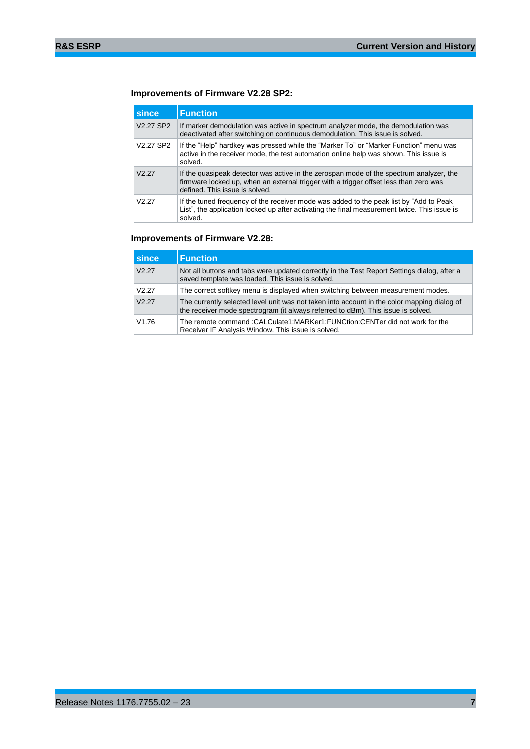#### **Improvements of Firmware V2.28 SP2:**

| since                             | <b>Function</b>                                                                                                                                                                                                    |
|-----------------------------------|--------------------------------------------------------------------------------------------------------------------------------------------------------------------------------------------------------------------|
| V2.27 SP2                         | If marker demodulation was active in spectrum analyzer mode, the demodulation was<br>deactivated after switching on continuous demodulation. This issue is solved.                                                 |
| V <sub>2.27</sub> SP <sub>2</sub> | If the "Help" hardkey was pressed while the "Marker To" or "Marker Function" menu was<br>active in the receiver mode, the test automation online help was shown. This issue is<br>solved.                          |
| V2.27                             | If the quasipeak detector was active in the zerospan mode of the spectrum analyzer, the<br>firmware locked up, when an external trigger with a trigger offset less than zero was<br>defined. This issue is solved. |
| V <sub>2</sub> 27                 | If the tuned frequency of the receiver mode was added to the peak list by "Add to Peak"<br>List", the application locked up after activating the final measurement twice. This issue is<br>solved.                 |

#### **Improvements of Firmware V2.28:**

| since | <b>Function</b>                                                                                                                                                                 |  |  |  |
|-------|---------------------------------------------------------------------------------------------------------------------------------------------------------------------------------|--|--|--|
| V2.27 | Not all buttons and tabs were updated correctly in the Test Report Settings dialog, after a<br>saved template was loaded. This issue is solved.                                 |  |  |  |
| V2.27 | The correct softkey menu is displayed when switching between measurement modes.                                                                                                 |  |  |  |
| V2.27 | The currently selected level unit was not taken into account in the color mapping dialog of<br>the receiver mode spectrogram (it always referred to dBm). This issue is solved. |  |  |  |
| V1.76 | The remote command: CALCulate1: MARKer1: FUNCtion: CENTer did not work for the<br>Receiver IF Analysis Window. This issue is solved.                                            |  |  |  |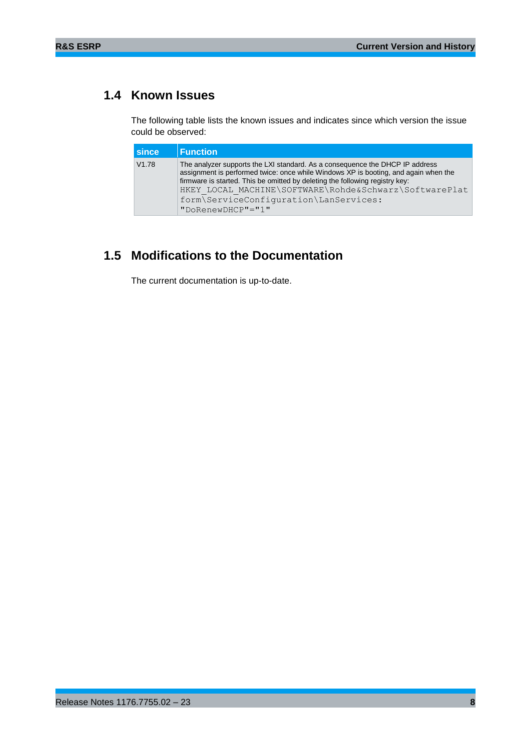## <span id="page-7-0"></span>**1.4 Known Issues**

The following table lists the known issues and indicates since which version the issue could be observed:

| I since | <b>Function</b>                                                                                                                                                                                                                                                                                                                                         |
|---------|---------------------------------------------------------------------------------------------------------------------------------------------------------------------------------------------------------------------------------------------------------------------------------------------------------------------------------------------------------|
| V1.78   | The analyzer supports the LXI standard. As a consequence the DHCP IP address<br>assignment is performed twice: once while Windows XP is booting, and again when the<br>firmware is started. This be omitted by deleting the following registry key:<br>HKEY LOCAL MACHINE\SOFTWARE\Rohde&Schwarz\SoftwarePlat<br>form\ServiceConfiguration\LanServices: |
|         | $"DokenewDHCP" = "1"$                                                                                                                                                                                                                                                                                                                                   |

## <span id="page-7-1"></span>**1.5 Modifications to the Documentation**

The current documentation is up-to-date.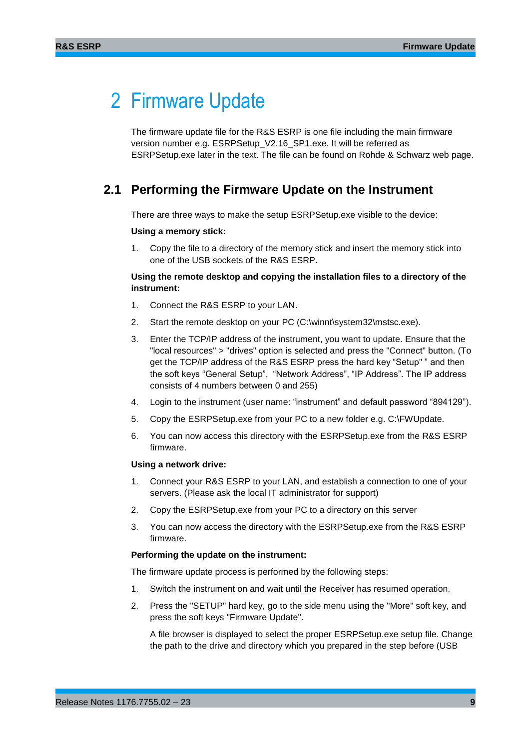## <span id="page-8-0"></span>2 Firmware Update

The firmware update file for the R&S ESRP is one file including the main firmware version number e.g. ESRPSetup\_V2.16\_SP1.exe. It will be referred as ESRPSetup.exe later in the text. The file can be found on Rohde & Schwarz web page.

### <span id="page-8-1"></span>**2.1 Performing the Firmware Update on the Instrument**

There are three ways to make the setup [ESRPS](#page-0-0)etup.exe visible to the device:

#### **Using a memory stick:**

1. Copy the file to a directory of the memory stick and insert the memory stick into one of the USB sockets of the R&S [ESRP.](#page-0-0)

#### **Using the remote desktop and copying the installation files to a directory of the instrument:**

- 1. Connect the R&S [ESRP](#page-0-0) to your LAN.
- 2. Start the remote desktop on your PC (C:\winnt\system32\mstsc.exe).
- 3. Enter the TCP/IP address of the instrument, you want to update. Ensure that the "local resources" > "drives" option is selected and press the "Connect" button. (To get the TCP/IP address of the R&S [ESRP](#page-0-0) press the hard key "Setup" " and then the soft keys "General Setup", "Network Address", "IP Address". The IP address consists of 4 numbers between 0 and 255)
- 4. Login to the instrument (user name: "instrument" and default password "894129").
- 5. Copy the [ESRPS](#page-0-0)etup.exe from your PC to a new folder e.g. C:\FWUpdate.
- 6. You can now access this directory with the [ESRPS](#page-0-0)etup.exe from the R&S [ESRP](#page-0-0) firmware.

#### **Using a network drive:**

- 1. Connect your R&S [ESRP](#page-0-0) to your LAN, and establish a connection to one of your servers. (Please ask the local IT administrator for support)
- 2. Copy the [ESRPS](#page-0-0)etup.exe from your PC to a directory on this server
- 3. You can now access the directory with the [ESRPS](#page-0-0)etup.exe from the R&S [ESRP](#page-0-0) firmware.

#### **Performing the update on the instrument:**

The firmware update process is performed by the following steps:

- 1. Switch the instrument on and wait until the Receiver has resumed operation.
- 2. Press the "SETUP" hard key, go to the side menu using the "More" soft key, and press the soft keys "Firmware Update".

A file browser is displayed to select the proper [ESRPS](#page-0-0)etup.exe setup file. Change the path to the drive and directory which you prepared in the step before (USB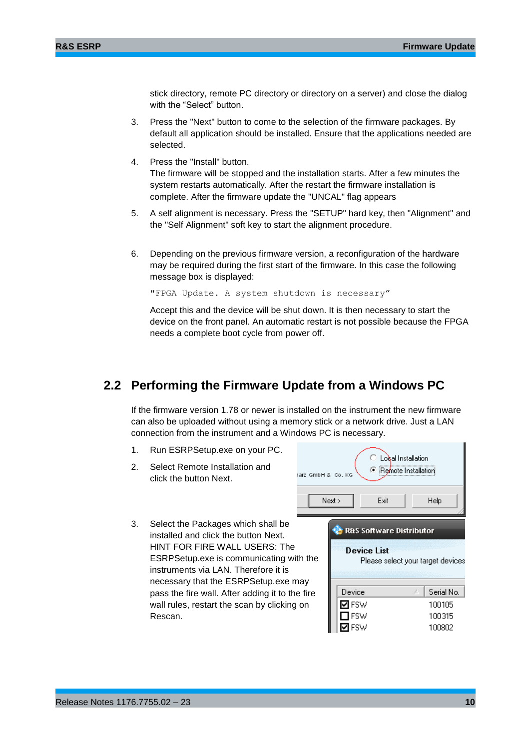stick directory, remote PC directory or directory on a server) and close the dialog with the "Select" button.

- 3. Press the "Next" button to come to the selection of the firmware packages. By default all application should be installed. Ensure that the applications needed are selected.
- 4. Press the "Install" button.

The firmware will be stopped and the installation starts. After a few minutes the system restarts automatically. After the restart the firmware installation is complete. After the firmware update the "UNCAL" flag appears

- 5. A self alignment is necessary. Press the "SETUP" hard key, then "Alignment" and the "Self Alignment" soft key to start the alignment procedure.
- 6. Depending on the previous firmware version, a reconfiguration of the hardware may be required during the first start of the firmware. In this case the following message box is displayed:

"FPGA Update. A system shutdown is necessary"

Accept this and the device will be shut down. It is then necessary to start the device on the front panel. An automatic restart is not possible because the FPGA needs a complete boot cycle from power off.

### <span id="page-9-0"></span>**2.2 Performing the Firmware Update from a Windows PC**

If the firmware version 1.78 or newer is installed on the instrument the new firmware can also be uploaded without using a memory stick or a network drive. Just a LAN connection from the instrument and a Windows PC is necessary.

1. Run [ESRPS](#page-0-0)etup.exe on your PC.

3. Select the Packages which shall be installed and click the button Next. HINT FOR FIRE WALL USERS: The

2. Select Remote Installation and click the button Next.

| Select Remote Installation and<br>click the button Next.                                                                                                                                                                               | rarz GmbH & Co. KG | Next<br>Exit                                              | Lobal Installation<br><b>E</b> Remote Installation<br>Help |
|----------------------------------------------------------------------------------------------------------------------------------------------------------------------------------------------------------------------------------------|--------------------|-----------------------------------------------------------|------------------------------------------------------------|
| Select the Packages which shall be<br>installed and click the button Next.<br>HINT FOR FIRE WALL USERS: The<br>ESRPSetup.exe is communicating with the<br>instruments via LAN. Therefore it is<br>necessary that the ESRPSetup.exe may |                    | <b>R&amp;S Software Distributor</b><br><b>Device List</b> | Please select your target devices                          |
| pass the fire wall. After adding it to the fire                                                                                                                                                                                        |                    | Device                                                    | Serial No.                                                 |
| wall rules, restart the scan by clicking on                                                                                                                                                                                            |                    | MFSW                                                      | 100105                                                     |
| Rescan.                                                                                                                                                                                                                                |                    | <b>FSW</b>                                                | 100315                                                     |
|                                                                                                                                                                                                                                        |                    | ज⊧sw                                                      | 100802                                                     |

Release Notes 1176.7755.02 – 23 **10**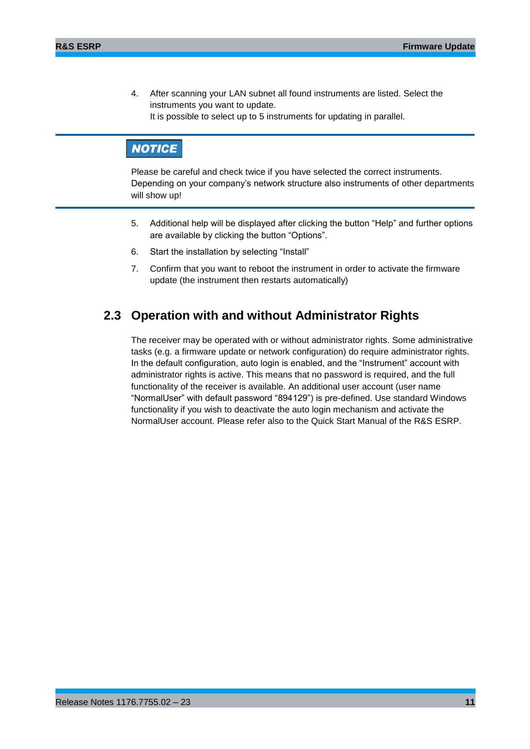4. After scanning your LAN subnet all found instruments are listed. Select the instruments you want to update. It is possible to select up to 5 instruments for updating in parallel.

## **NOTICE**

Please be careful and check twice if you have selected the correct instruments. Depending on your company's network structure also instruments of other departments will show up!

- 5. Additional help will be displayed after clicking the button "Help" and further options are available by clicking the button "Options".
- 6. Start the installation by selecting "Install"
- <span id="page-10-0"></span>7. Confirm that you want to reboot the instrument in order to activate the firmware update (the instrument then restarts automatically)

### **2.3 Operation with and without Administrator Rights**

The receiver may be operated with or without administrator rights. Some administrative tasks (e.g. a firmware update or network configuration) do require administrator rights. In the default configuration, auto login is enabled, and the "Instrument" account with administrator rights is active. This means that no password is required, and the full functionality of the receiver is available. An additional user account (user name "NormalUser" with default password "894129") is pre-defined. Use standard Windows functionality if you wish to deactivate the auto login mechanism and activate the NormalUser account. Please refer also to the Quick Start Manual of the R&S [ESRP.](#page-0-0)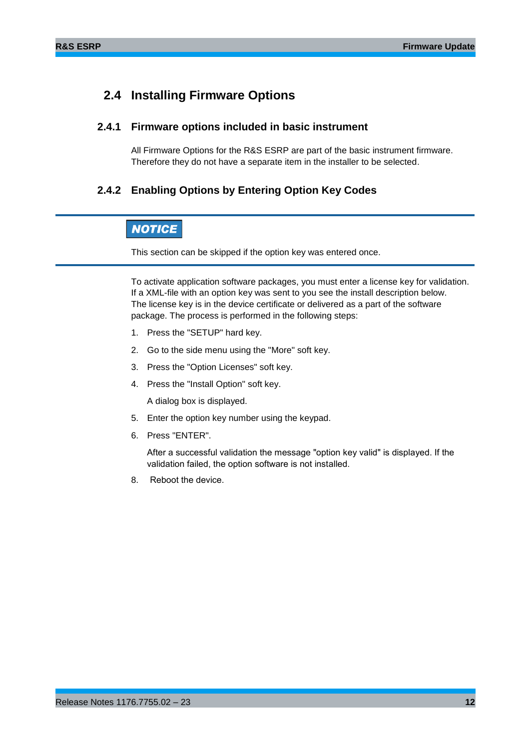### <span id="page-11-0"></span>**2.4 Installing Firmware Options**

#### **2.4.1 Firmware options included in basic instrument**

<span id="page-11-2"></span><span id="page-11-1"></span>All Firmware Options for the R&S [ESRP](#page-0-0) are part of the basic instrument firmware. Therefore they do not have a separate item in the installer to be selected.

#### **2.4.2 Enabling Options by Entering Option Key Codes**

### **NOTICE**

This section can be skipped if the option key was entered once.

To activate application software packages, you must enter a license key for validation. If a XML-file with an option key was sent to you see the install description below. The license key is in the device certificate or delivered as a part of the software package. The process is performed in the following steps:

- 1. Press the "SETUP" hard key.
- 2. Go to the side menu using the "More" soft key.
- 3. Press the "Option Licenses" soft key.
- 4. Press the "Install Option" soft key.

A dialog box is displayed.

- 5. Enter the option key number using the keypad.
- 6. Press "ENTER".

After a successful validation the message "option key valid" is displayed. If the validation failed, the option software is not installed.

8. Reboot the device.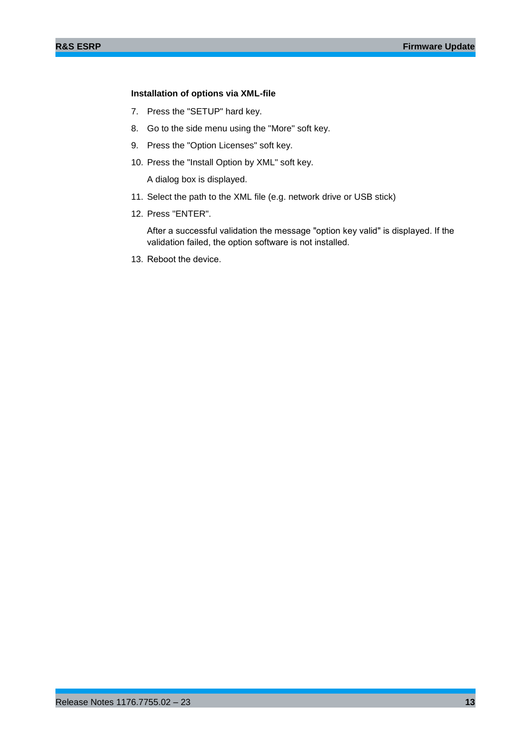#### **Installation of options via XML-file**

- 7. Press the "SETUP" hard key.
- 8. Go to the side menu using the "More" soft key.
- 9. Press the "Option Licenses" soft key.
- 10. Press the "Install Option by XML" soft key.

A dialog box is displayed.

- 11. Select the path to the XML file (e.g. network drive or USB stick)
- 12. Press "ENTER".

After a successful validation the message "option key valid" is displayed. If the validation failed, the option software is not installed.

13. Reboot the device.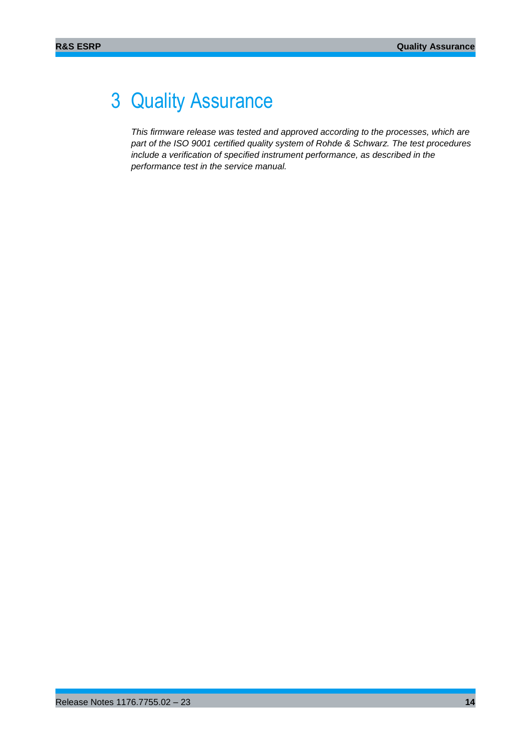## <span id="page-13-0"></span>3 Quality Assurance

*This firmware release was tested and approved according to the processes, which are part of the ISO 9001 certified quality system of Rohde & Schwarz. The test procedures include a verification of specified instrument performance, as described in the performance test in the service manual.*